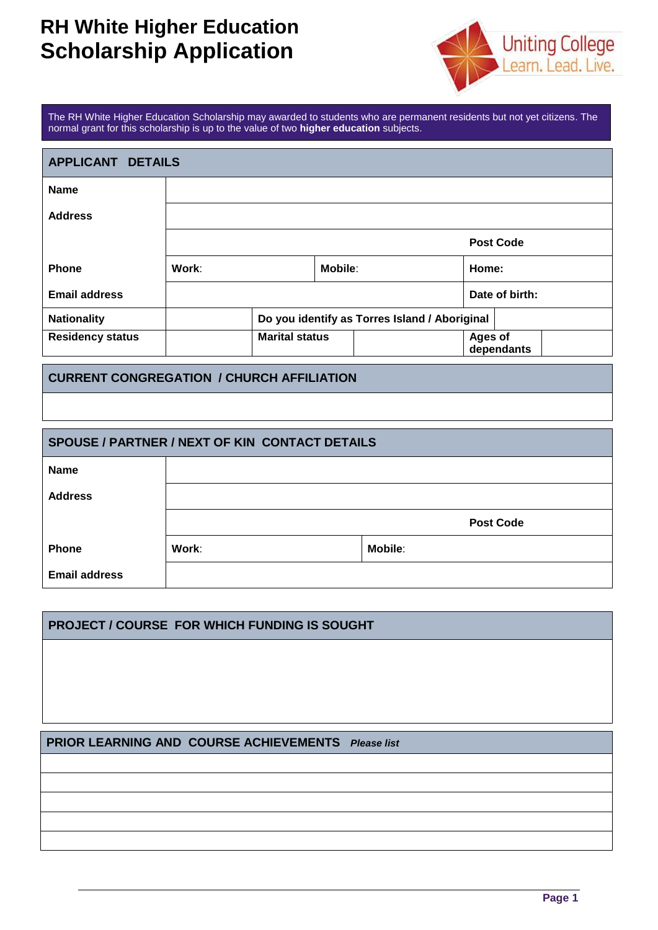# **RH White Higher Education Scholarship Application**



The RH White Higher Education Scholarship may awarded to students who are permanent residents but not yet citizens. The normal grant for this scholarship is up to the value of two **higher education** subjects.

| APPLICANT DETAILS       |       |                       |                |                                               |                |                  |
|-------------------------|-------|-----------------------|----------------|-----------------------------------------------|----------------|------------------|
| <b>Name</b>             |       |                       |                |                                               |                |                  |
| <b>Address</b>          |       |                       |                |                                               |                |                  |
|                         |       |                       |                |                                               |                | <b>Post Code</b> |
| <b>Phone</b>            | Work: |                       | <b>Mobile:</b> |                                               | Home:          |                  |
| <b>Email address</b>    |       |                       |                |                                               |                | Date of birth:   |
| <b>Nationality</b>      |       |                       |                | Do you identify as Torres Island / Aboriginal |                |                  |
| <b>Residency status</b> |       | <b>Marital status</b> |                |                                               | <b>Ages of</b> | dependants       |

#### **CURRENT CONGREGATION / CHURCH AFFILIATION**

| <b>SPOUSE / PARTNER / NEXT OF KIN CONTACT DETAILS</b> |                  |                |  |  |  |
|-------------------------------------------------------|------------------|----------------|--|--|--|
| <b>Name</b>                                           |                  |                |  |  |  |
| <b>Address</b>                                        |                  |                |  |  |  |
|                                                       | <b>Post Code</b> |                |  |  |  |
| <b>Phone</b>                                          | Work:            | <b>Mobile:</b> |  |  |  |
| <b>Email address</b>                                  |                  |                |  |  |  |

# **PROJECT / COURSE FOR WHICH FUNDING IS SOUGHT**

### **PRIOR LEARNING AND COURSE ACHIEVEMENTS** *Please list*